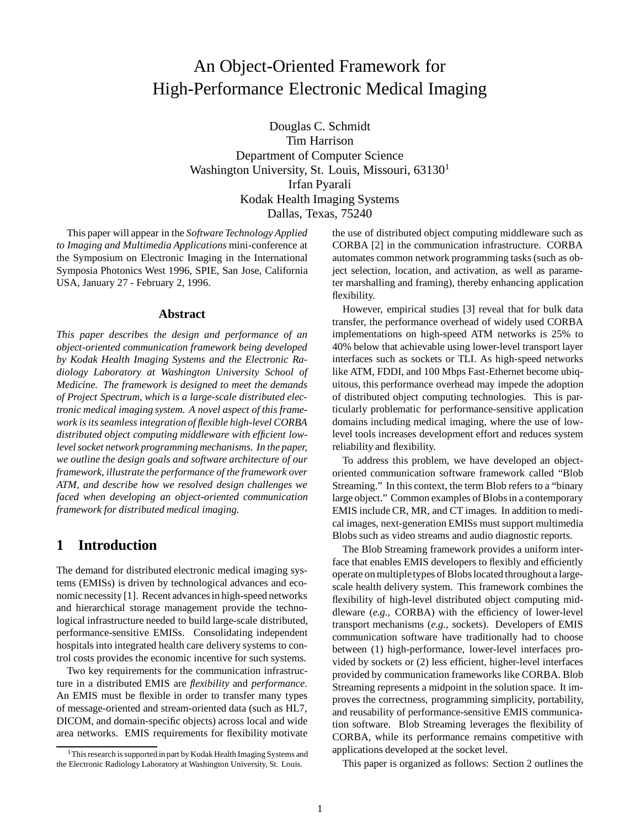# An Object-Oriented Framework for High-Performance Electronic Medical Imaging

Douglas C. Schmidt Tim Harrison Department of Computer Science Washington University, St. Louis, Missouri, 63130<sup>1</sup> Irfan Pyarali Kodak Health Imaging Systems Dallas, Texas, 75240

This paper will appear in the *Software Technology Applied to Imaging and Multimedia Applications* mini-conference at the Symposium on Electronic Imaging in the International Symposia Photonics West 1996, SPIE, San Jose, California USA, January 27 - February 2, 1996.

#### **Abstract**

*This paper describes the design and performance of an object-oriented communication framework being developed by Kodak Health Imaging Systems and the Electronic Radiology Laboratory at Washington University School of Medicine. The framework is designed to meet the demands of Project Spectrum, which is a large-scale distributed electronic medical imaging system. A novel aspect of this framework is its seamless integration of flexible high-level CORBA distributed object computing middleware with efficient lowlevel socket network programming mechanisms. In the paper, we outline the design goals and software architecture of our framework, illustrate the performance of the framework over ATM, and describe how we resolved design challenges we faced when developing an object-oriented communication framework for distributed medical imaging.*

## **1 Introduction**

The demand for distributed electronic medical imaging systems (EMISs) is driven by technological advances and economic necessity [1]. Recent advances in high-speed networks and hierarchical storage management provide the technological infrastructure needed to build large-scale distributed, performance-sensitive EMISs. Consolidating independent hospitals into integrated health care delivery systems to control costs provides the economic incentive for such systems.

Two key requirements for the communication infrastructure in a distributed EMIS are *flexibility* and *performance*. An EMIS must be flexible in order to transfer many types of message-oriented and stream-oriented data (such as HL7, DICOM, and domain-specific objects) across local and wide area networks. EMIS requirements for flexibility motivate

<sup>1</sup>This research is supported in part by Kodak Health Imaging Systems and the Electronic Radiology Laboratory at Washington University, St. Louis.

the use of distributed object computing middleware such as CORBA [2] in the communication infrastructure. CORBA automates common network programming tasks (such as object selection, location, and activation, as well as parameter marshalling and framing), thereby enhancing application flexibility.

However, empirical studies [3] reveal that for bulk data transfer, the performance overhead of widely used CORBA implementations on high-speed ATM networks is 25% to 40% below that achievable using lower-level transport layer interfaces such as sockets or TLI. As high-speed networks like ATM, FDDI, and 100 Mbps Fast-Ethernet become ubiquitous, this performance overhead may impede the adoption of distributed object computing technologies. This is particularly problematic for performance-sensitive application domains including medical imaging, where the use of lowlevel tools increases development effort and reduces system reliability and flexibility.

To address this problem, we have developed an objectoriented communication software framework called "Blob Streaming." In this context, the term Blob refers to a "binary large object." Common examples of Blobs in a contemporary EMIS include CR, MR, and CT images. In addition to medical images, next-generation EMISs must support multimedia Blobs such as video streams and audio diagnostic reports.

The Blob Streaming framework provides a uniform interface that enables EMIS developers to flexibly and efficiently operate on multipletypes of Blobs located throughout a largescale health delivery system. This framework combines the flexibility of high-level distributed object computing middleware (*e.g.,* CORBA) with the efficiency of lower-level transport mechanisms (*e.g.,* sockets). Developers of EMIS communication software have traditionally had to choose between (1) high-performance, lower-level interfaces provided by sockets or (2) less efficient, higher-level interfaces provided by communication frameworks like CORBA. Blob Streaming represents a midpoint in the solution space. It improves the correctness, programming simplicity, portability, and reusability of performance-sensitive EMIS communication software. Blob Streaming leverages the flexibility of CORBA, while its performance remains competitive with applications developed at the socket level.

This paper is organized as follows: Section 2 outlines the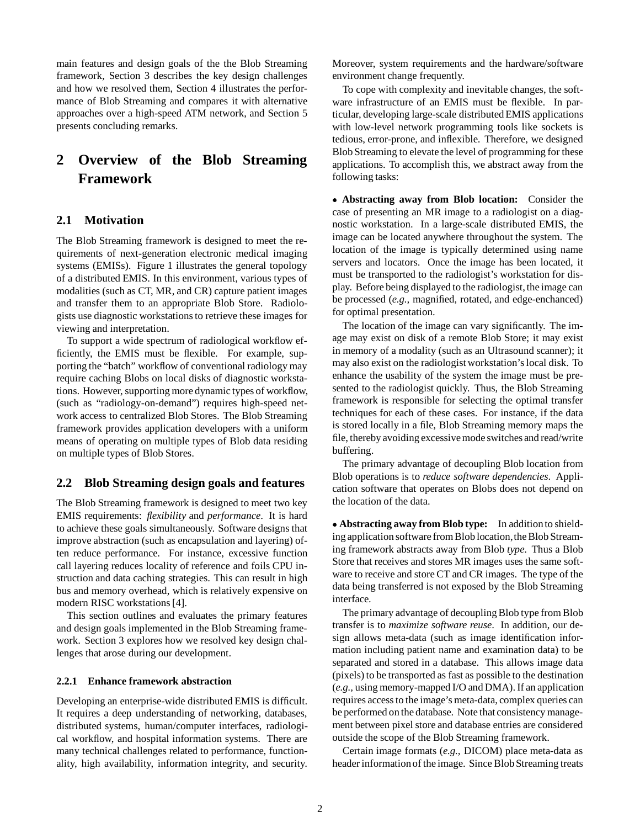main features and design goals of the the Blob Streaming framework, Section 3 describes the key design challenges and how we resolved them, Section 4 illustrates the performance of Blob Streaming and compares it with alternative approaches over a high-speed ATM network, and Section 5 presents concluding remarks.

# **2 Overview of the Blob Streaming Framework**

### **2.1 Motivation**

The Blob Streaming framework is designed to meet the requirements of next-generation electronic medical imaging systems (EMISs). Figure 1 illustrates the general topology of a distributed EMIS. In this environment, various types of modalities (such as CT, MR, and CR) capture patient images and transfer them to an appropriate Blob Store. Radiologists use diagnostic workstations to retrieve these images for viewing and interpretation.

To support a wide spectrum of radiological workflow efficiently, the EMIS must be flexible. For example, supporting the "batch" workflow of conventional radiology may require caching Blobs on local disks of diagnostic workstations. However, supporting more dynamic types of workflow, (such as "radiology-on-demand") requires high-speed network access to centralized Blob Stores. The Blob Streaming framework provides application developers with a uniform means of operating on multiple types of Blob data residing on multiple types of Blob Stores.

### **2.2 Blob Streaming design goals and features**

The Blob Streaming framework is designed to meet two key EMIS requirements: *flexibility* and *performance*. It is hard to achieve these goals simultaneously. Software designs that improve abstraction (such as encapsulation and layering) often reduce performance. For instance, excessive function call layering reduces locality of reference and foils CPU instruction and data caching strategies. This can result in high bus and memory overhead, which is relatively expensive on modern RISC workstations [4].

This section outlines and evaluates the primary features and design goals implemented in the Blob Streaming framework. Section 3 explores how we resolved key design challenges that arose during our development.

#### **2.2.1 Enhance framework abstraction**

Developing an enterprise-wide distributed EMIS is difficult. It requires a deep understanding of networking, databases, distributed systems, human/computer interfaces, radiological workflow, and hospital information systems. There are many technical challenges related to performance, functionality, high availability, information integrity, and security. Moreover, system requirements and the hardware/software environment change frequently.

To cope with complexity and inevitable changes, the software infrastructure of an EMIS must be flexible. In particular, developing large-scale distributed EMIS applications with low-level network programming tools like sockets is tedious, error-prone, and inflexible. Therefore, we designed Blob Streaming to elevate the level of programming for these applications. To accomplish this, we abstract away from the following tasks:

 **Abstracting away from Blob location:** Consider the case of presenting an MR image to a radiologist on a diagnostic workstation. In a large-scale distributed EMIS, the image can be located anywhere throughout the system. The location of the image is typically determined using name servers and locators. Once the image has been located, it must be transported to the radiologist's workstation for display. Before being displayed to the radiologist, the image can be processed (*e.g.,* magnified, rotated, and edge-enchanced) for optimal presentation.

The location of the image can vary significantly. The image may exist on disk of a remote Blob Store; it may exist in memory of a modality (such as an Ultrasound scanner); it may also exist on the radiologist workstation's local disk. To enhance the usability of the system the image must be presented to the radiologist quickly. Thus, the Blob Streaming framework is responsible for selecting the optimal transfer techniques for each of these cases. For instance, if the data is stored locally in a file, Blob Streaming memory maps the file, thereby avoiding excessive mode switches and read/write buffering.

The primary advantage of decoupling Blob location from Blob operations is to *reduce software dependencies*. Application software that operates on Blobs does not depend on the location of the data.

 **Abstracting away from Blob type:** In additionto shielding application software from Blob location,the Blob Streaming framework abstracts away from Blob *type*. Thus a Blob Store that receives and stores MR images uses the same software to receive and store CT and CR images. The type of the data being transferred is not exposed by the Blob Streaming interface.

The primary advantage of decoupling Blob type from Blob transfer is to *maximize software reuse*. In addition, our design allows meta-data (such as image identification information including patient name and examination data) to be separated and stored in a database. This allows image data (pixels) to be transported as fast as possible to the destination (*e.g.,* using memory-mapped I/O and DMA). If an application requires access to the image's meta-data, complex queries can be performed on the database. Note that consistency management between pixel store and database entries are considered outside the scope of the Blob Streaming framework.

Certain image formats (*e.g.,* DICOM) place meta-data as header information of the image. Since Blob Streaming treats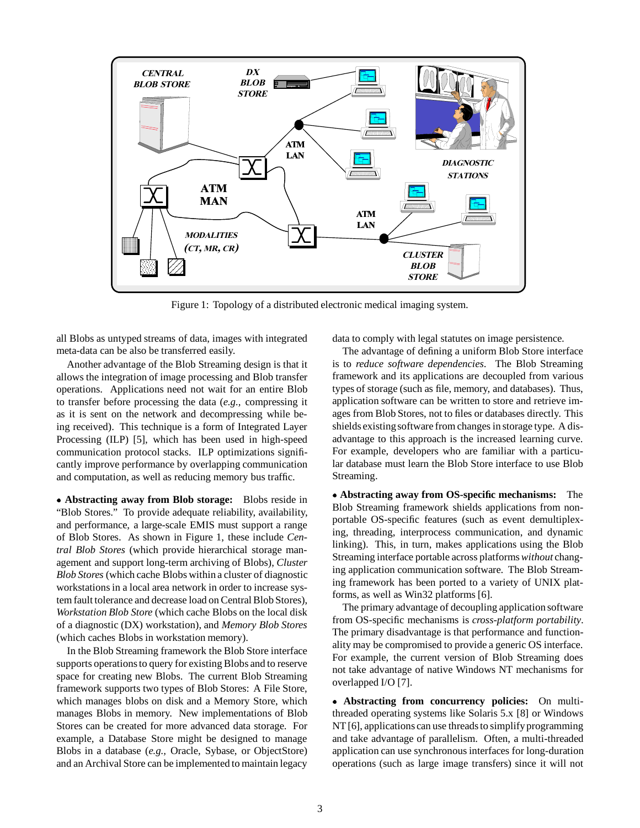

Figure 1: Topology of a distributed electronic medical imaging system.

all Blobs as untyped streams of data, images with integrated meta-data can be also be transferred easily.

Another advantage of the Blob Streaming design is that it allows the integration of image processing and Blob transfer operations. Applications need not wait for an entire Blob to transfer before processing the data (*e.g.,* compressing it as it is sent on the network and decompressing while being received). This technique is a form of Integrated Layer Processing (ILP) [5], which has been used in high-speed communication protocol stacks. ILP optimizations significantly improve performance by overlapping communication and computation, as well as reducing memory bus traffic.

 **Abstracting away from Blob storage:** Blobs reside in "Blob Stores." To provide adequate reliability, availability, and performance, a large-scale EMIS must support a range of Blob Stores. As shown in Figure 1, these include *Central Blob Stores* (which provide hierarchical storage management and support long-term archiving of Blobs), *Cluster Blob Stores* (which cache Blobs within a cluster of diagnostic workstations in a local area network in order to increase system fault tolerance and decrease load on Central Blob Stores), *Workstation Blob Store* (which cache Blobs on the local disk of a diagnostic (DX) workstation), and *Memory Blob Stores* (which caches Blobs in workstation memory).

In the Blob Streaming framework the Blob Store interface supports operations to query for existing Blobs and to reserve space for creating new Blobs. The current Blob Streaming framework supports two types of Blob Stores: A File Store, which manages blobs on disk and a Memory Store, which manages Blobs in memory. New implementations of Blob Stores can be created for more advanced data storage. For example, a Database Store might be designed to manage Blobs in a database (*e.g.,* Oracle, Sybase, or ObjectStore) and an Archival Store can be implemented to maintain legacy data to comply with legal statutes on image persistence.

The advantage of defining a uniform Blob Store interface is to *reduce software dependencies*. The Blob Streaming framework and its applications are decoupled from various types of storage (such as file, memory, and databases). Thus, application software can be written to store and retrieve images from Blob Stores, not to files or databases directly. This shields existing software from changes in storage type. A disadvantage to this approach is the increased learning curve. For example, developers who are familiar with a particular database must learn the Blob Store interface to use Blob Streaming.

 **Abstracting away from OS-specific mechanisms:** The Blob Streaming framework shields applications from nonportable OS-specific features (such as event demultiplexing, threading, interprocess communication, and dynamic linking). This, in turn, makes applications using the Blob Streaming interface portable across platforms*without* changing application communication software. The Blob Streaming framework has been ported to a variety of UNIX platforms, as well as Win32 platforms [6].

The primary advantage of decoupling application software from OS-specific mechanisms is *cross-platform portability*. The primary disadvantage is that performance and functionality may be compromised to provide a generic OS interface. For example, the current version of Blob Streaming does not take advantage of native Windows NT mechanisms for overlapped I/O [7].

 **Abstracting from concurrency policies:** On multithreaded operating systems like Solaris 5.x [8] or Windows NT [6], applications can use threads to simplify programming and take advantage of parallelism. Often, a multi-threaded application can use synchronous interfaces for long-duration operations (such as large image transfers) since it will not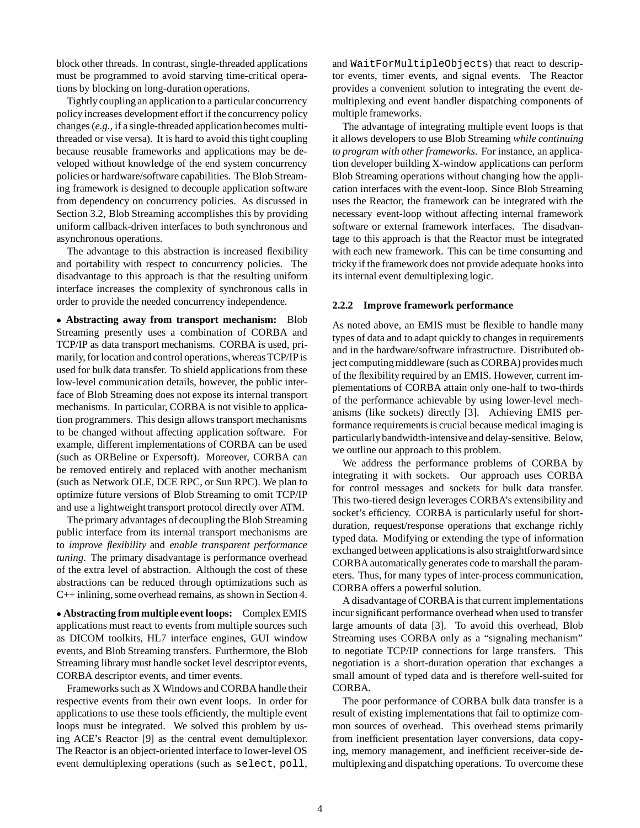block other threads. In contrast, single-threaded applications must be programmed to avoid starving time-critical operations by blocking on long-duration operations.

Tightlycoupling an application to a particular concurrency policy increases development effort if the concurrency policy changes (*e.g.*, if a single-threaded application becomes multithreaded or vise versa). It is hard to avoid this tight coupling because reusable frameworks and applications may be developed without knowledge of the end system concurrency policies or hardware/software capabilities. The Blob Streaming framework is designed to decouple application software from dependency on concurrency policies. As discussed in Section 3.2, Blob Streaming accomplishes this by providing uniform callback-driven interfaces to both synchronous and asynchronous operations.

The advantage to this abstraction is increased flexibility and portability with respect to concurrency policies. The disadvantage to this approach is that the resulting uniform interface increases the complexity of synchronous calls in order to provide the needed concurrency independence.

 **Abstracting away from transport mechanism:** Blob Streaming presently uses a combination of CORBA and TCP/IP as data transport mechanisms. CORBA is used, primarily, for location and control operations,whereas TCP/IP is used for bulk data transfer. To shield applications from these low-level communication details, however, the public interface of Blob Streaming does not expose its internal transport mechanisms. In particular, CORBA is not visible to application programmers. This design allows transport mechanisms to be changed without affecting application software. For example, different implementations of CORBA can be used (such as ORBeline or Expersoft). Moreover, CORBA can be removed entirely and replaced with another mechanism (such as Network OLE, DCE RPC, or Sun RPC). We plan to optimize future versions of Blob Streaming to omit TCP/IP and use a lightweight transport protocol directly over ATM.

The primary advantages of decoupling the Blob Streaming public interface from its internal transport mechanisms are to *improve flexibility* and *enable transparent performance tuning*. The primary disadvantage is performance overhead of the extra level of abstraction. Although the cost of these abstractions can be reduced through optimizations such as C++ inlining, some overhead remains, as shown in Section 4.

 **Abstracting from multiple event loops:** Complex EMIS applications must react to events from multiple sources such as DICOM toolkits, HL7 interface engines, GUI window events, and Blob Streaming transfers. Furthermore, the Blob Streaming library must handle socket level descriptor events, CORBA descriptor events, and timer events.

Frameworks such as X Windows and CORBA handle their respective events from their own event loops. In order for applications to use these tools efficiently, the multiple event loops must be integrated. We solved this problem by using ACE's Reactor [9] as the central event demultiplexor. The Reactor is an object-oriented interface to lower-level OS event demultiplexing operations (such as select, poll, and WaitForMultipleObjects) that react to descriptor events, timer events, and signal events. The Reactor provides a convenient solution to integrating the event demultiplexing and event handler dispatching components of multiple frameworks.

The advantage of integrating multiple event loops is that it allows developers to use Blob Streaming *while continuing to program with other frameworks*. For instance, an application developer building X-window applications can perform Blob Streaming operations without changing how the application interfaces with the event-loop. Since Blob Streaming uses the Reactor, the framework can be integrated with the necessary event-loop without affecting internal framework software or external framework interfaces. The disadvantage to this approach is that the Reactor must be integrated with each new framework. This can be time consuming and tricky if the framework does not provide adequate hooks into its internal event demultiplexing logic.

#### **2.2.2 Improve framework performance**

As noted above, an EMIS must be flexible to handle many types of data and to adapt quickly to changes in requirements and in the hardware/software infrastructure. Distributed object computing middleware (such as CORBA) provides much of the flexibility required by an EMIS. However, current implementations of CORBA attain only one-half to two-thirds of the performance achievable by using lower-level mechanisms (like sockets) directly [3]. Achieving EMIS performance requirements is crucial because medical imaging is particularlybandwidth-intensiveand delay-sensitive. Below, we outline our approach to this problem.

We address the performance problems of CORBA by integrating it with sockets. Our approach uses CORBA for control messages and sockets for bulk data transfer. This two-tiered design leverages CORBA's extensibility and socket's efficiency. CORBA is particularly useful for shortduration, request/response operations that exchange richly typed data. Modifying or extending the type of information exchanged between applications is also straightforward since CORBA automatically generates code to marshall the parameters. Thus, for many types of inter-process communication, CORBA offers a powerful solution.

A disadvantage of CORBA is that current implementations incur significant performance overhead when used to transfer large amounts of data [3]. To avoid this overhead, Blob Streaming uses CORBA only as a "signaling mechanism" to negotiate TCP/IP connections for large transfers. This negotiation is a short-duration operation that exchanges a small amount of typed data and is therefore well-suited for CORBA.

The poor performance of CORBA bulk data transfer is a result of existing implementations that fail to optimize common sources of overhead. This overhead stems primarily from inefficient presentation layer conversions, data copying, memory management, and inefficient receiver-side demultiplexing and dispatching operations. To overcome these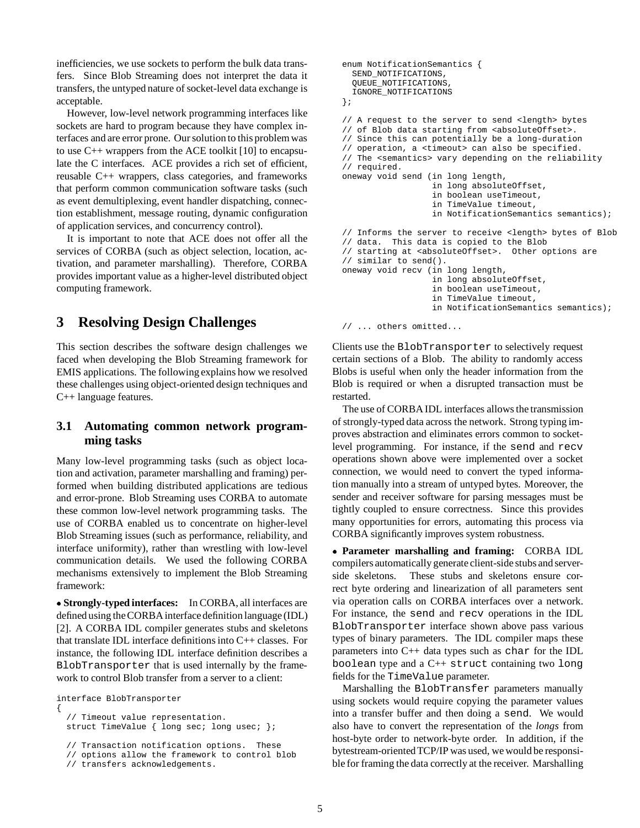inefficiencies, we use sockets to perform the bulk data transfers. Since Blob Streaming does not interpret the data it transfers, the untyped nature of socket-level data exchange is acceptable.

However, low-level network programming interfaces like sockets are hard to program because they have complex interfaces and are error prone. Our solution to this problem was to use C++ wrappers from the ACE toolkit [10] to encapsulate the C interfaces. ACE provides a rich set of efficient, reusable C++ wrappers, class categories, and frameworks that perform common communication software tasks (such as event demultiplexing, event handler dispatching, connection establishment, message routing, dynamic configuration of application services, and concurrency control).

It is important to note that ACE does not offer all the services of CORBA (such as object selection, location, activation, and parameter marshalling). Therefore, CORBA provides important value as a higher-level distributed object computing framework.

## **3 Resolving Design Challenges**

This section describes the software design challenges we faced when developing the Blob Streaming framework for EMIS applications. The following explains how we resolved these challenges using object-oriented design techniques and C++ language features.

### **3.1 Automating common network programming tasks**

Many low-level programming tasks (such as object location and activation, parameter marshalling and framing) performed when building distributed applications are tedious and error-prone. Blob Streaming uses CORBA to automate these common low-level network programming tasks. The use of CORBA enabled us to concentrate on higher-level Blob Streaming issues (such as performance, reliability, and interface uniformity), rather than wrestling with low-level communication details. We used the following CORBA mechanisms extensively to implement the Blob Streaming framework:

 **Strongly-typed interfaces:** In CORBA, all interfaces are defined using the CORBA interface definition language (IDL) [2]. A CORBA IDL compiler generates stubs and skeletons that translate IDL interface definitions into C++ classes. For instance, the following IDL interface definition describes a BlobTransporter that is used internally by the framework to control Blob transfer from a server to a client:

```
interface BlobTransporter
{
  // Timeout value representation.
 struct TimeValue { long sec; long usec; };
 // Transaction notification options. These
 // options allow the framework to control blob
 // transfers acknowledgements.
```

```
enum NotificationSemantics {
  SEND_NOTIFICATIONS,
  QUEUE_NOTIFICATIONS,
  IGNORE_NOTIFICATIONS
};
// A request to the server to send <length> bytes
// of Blob data starting from <absoluteOffset>.
// Since this can potentially be a long-duration
// operation, a <timeout> can also be specified.
// The <semantics> vary depending on the reliability
// required.
oneway void send (in long length,
                  in long absoluteOffset,
                  in boolean useTimeout,
                  in TimeValue timeout,
                  in NotificationSemantics semantics);
// Informs the server to receive <length> bytes of Blob
// data. This data is copied to the Blob
// starting at <absoluteOffset>. Other options are
// similar to send().
oneway void recv (in long length,
                  in long absoluteOffset,
                  in boolean useTimeout,
                  in TimeValue timeout,
```

```
in NotificationSemantics semantics);
```
// ... others omitted...

Clients use the BlobTransporter to selectively request certain sections of a Blob. The ability to randomly access Blobs is useful when only the header information from the Blob is required or when a disrupted transaction must be restarted.

The use of CORBA IDL interfaces allows the transmission of strongly-typed data across the network. Strong typing improves abstraction and eliminates errors common to socketlevel programming. For instance, if the send and recv operations shown above were implemented over a socket connection, we would need to convert the typed information manually into a stream of untyped bytes. Moreover, the sender and receiver software for parsing messages must be tightly coupled to ensure correctness. Since this provides many opportunities for errors, automating this process via CORBA significantly improves system robustness.

 **Parameter marshalling and framing:** CORBA IDL compilers automatically generate client-side stubs and serverside skeletons. These stubs and skeletons ensure correct byte ordering and linearization of all parameters sent via operation calls on CORBA interfaces over a network. For instance, the send and recv operations in the IDL BlobTransporter interface shown above pass various types of binary parameters. The IDL compiler maps these parameters into  $C_{++}$  data types such as char for the IDL boolean type and a  $C_{++}$  struct containing two long fields for the TimeValue parameter.

Marshalling the BlobTransfer parameters manually using sockets would require copying the parameter values into a transfer buffer and then doing a send. We would also have to convert the representation of the *longs* from host-byte order to network-byte order. In addition, if the bytestream-orientedTCP/IP was used, we would be responsible for framing the data correctly at the receiver. Marshalling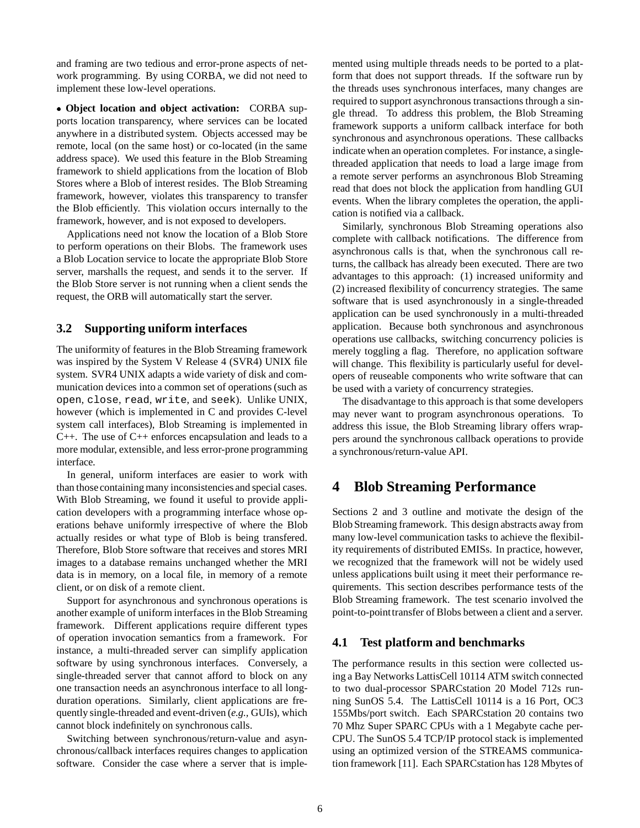and framing are two tedious and error-prone aspects of network programming. By using CORBA, we did not need to implement these low-level operations.

 **Object location and object activation:** CORBA supports location transparency, where services can be located anywhere in a distributed system. Objects accessed may be remote, local (on the same host) or co-located (in the same address space). We used this feature in the Blob Streaming framework to shield applications from the location of Blob Stores where a Blob of interest resides. The Blob Streaming framework, however, violates this transparency to transfer the Blob efficiently. This violation occurs internally to the framework, however, and is not exposed to developers.

Applications need not know the location of a Blob Store to perform operations on their Blobs. The framework uses a Blob Location service to locate the appropriate Blob Store server, marshalls the request, and sends it to the server. If the Blob Store server is not running when a client sends the request, the ORB will automatically start the server.

### **3.2 Supporting uniform interfaces**

The uniformity of features in the Blob Streaming framework was inspired by the System V Release 4 (SVR4) UNIX file system. SVR4 UNIX adapts a wide variety of disk and communication devices into a common set of operations (such as open, close, read, write, and seek). Unlike UNIX, however (which is implemented in C and provides C-level system call interfaces), Blob Streaming is implemented in C++. The use of C++ enforces encapsulation and leads to a more modular, extensible, and less error-prone programming interface.

In general, uniform interfaces are easier to work with than those containing many inconsistencies and special cases. With Blob Streaming, we found it useful to provide application developers with a programming interface whose operations behave uniformly irrespective of where the Blob actually resides or what type of Blob is being transfered. Therefore, Blob Store software that receives and stores MRI images to a database remains unchanged whether the MRI data is in memory, on a local file, in memory of a remote client, or on disk of a remote client.

Support for asynchronous and synchronous operations is another example of uniform interfaces in the Blob Streaming framework. Different applications require different types of operation invocation semantics from a framework. For instance, a multi-threaded server can simplify application software by using synchronous interfaces. Conversely, a single-threaded server that cannot afford to block on any one transaction needs an asynchronous interface to all longduration operations. Similarly, client applications are frequently single-threaded and event-driven (*e.g.,* GUIs), which cannot block indefinitely on synchronous calls.

Switching between synchronous/return-value and asynchronous/callback interfaces requires changes to application software. Consider the case where a server that is imple-

mented using multiple threads needs to be ported to a platform that does not support threads. If the software run by the threads uses synchronous interfaces, many changes are required to support asynchronous transactions through a single thread. To address this problem, the Blob Streaming framework supports a uniform callback interface for both synchronous and asynchronous operations. These callbacks indicate when an operation completes. For instance, a singlethreaded application that needs to load a large image from a remote server performs an asynchronous Blob Streaming read that does not block the application from handling GUI events. When the library completes the operation, the application is notified via a callback.

Similarly, synchronous Blob Streaming operations also complete with callback notifications. The difference from asynchronous calls is that, when the synchronous call returns, the callback has already been executed. There are two advantages to this approach: (1) increased uniformity and (2) increased flexibility of concurrency strategies. The same software that is used asynchronously in a single-threaded application can be used synchronously in a multi-threaded application. Because both synchronous and asynchronous operations use callbacks, switching concurrency policies is merely toggling a flag. Therefore, no application software will change. This flexibility is particularly useful for developers of reuseable components who write software that can be used with a variety of concurrency strategies.

The disadvantage to this approach is that some developers may never want to program asynchronous operations. To address this issue, the Blob Streaming library offers wrappers around the synchronous callback operations to provide a synchronous/return-value API.

# **4 Blob Streaming Performance**

Sections 2 and 3 outline and motivate the design of the Blob Streaming framework. This design abstracts away from many low-level communication tasks to achieve the flexibility requirements of distributed EMISs. In practice, however, we recognized that the framework will not be widely used unless applications built using it meet their performance requirements. This section describes performance tests of the Blob Streaming framework. The test scenario involved the point-to-pointtransfer of Blobs between a client and a server.

### **4.1 Test platform and benchmarks**

The performance results in this section were collected using a Bay Networks LattisCell 10114 ATM switch connected to two dual-processor SPARCstation 20 Model 712s running SunOS 5.4. The LattisCell 10114 is a 16 Port, OC3 155Mbs/port switch. Each SPARCstation 20 contains two 70 Mhz Super SPARC CPUs with a 1 Megabyte cache per-CPU. The SunOS 5.4 TCP/IP protocol stack is implemented using an optimized version of the STREAMS communication framework [11]. Each SPARCstation has 128 Mbytes of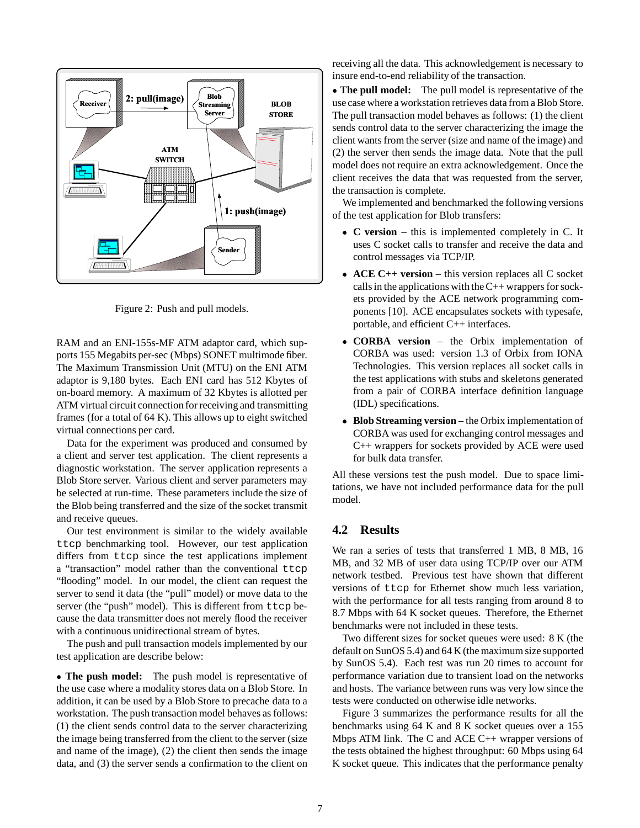

Figure 2: Push and pull models.

RAM and an ENI-155s-MF ATM adaptor card, which supports 155 Megabits per-sec (Mbps) SONET multimode fiber. The Maximum Transmission Unit (MTU) on the ENI ATM adaptor is 9,180 bytes. Each ENI card has 512 Kbytes of on-board memory. A maximum of 32 Kbytes is allotted per ATM virtual circuit connection for receiving and transmitting frames (for a total of 64 K). This allows up to eight switched virtual connections per card.

Data for the experiment was produced and consumed by a client and server test application. The client represents a diagnostic workstation. The server application represents a Blob Store server. Various client and server parameters may be selected at run-time. These parameters include the size of the Blob being transferred and the size of the socket transmit and receive queues.

Our test environment is similar to the widely available ttcp benchmarking tool. However, our test application differs from ttcp since the test applications implement a "transaction" model rather than the conventional ttcp "flooding" model. In our model, the client can request the server to send it data (the "pull" model) or move data to the server (the "push" model). This is different from ttcp because the data transmitter does not merely flood the receiver with a continuous unidirectional stream of bytes.

The push and pull transaction models implemented by our test application are describe below:

 **The push model:** The push model is representative of the use case where a modality stores data on a Blob Store. In addition, it can be used by a Blob Store to precache data to a workstation. The push transaction model behaves as follows: (1) the client sends control data to the server characterizing the image being transferred from the client to the server (size and name of the image), (2) the client then sends the image data, and (3) the server sends a confirmation to the client on receiving all the data. This acknowledgement is necessary to insure end-to-end reliability of the transaction.

 **The pull model:** The pull model is representative of the use case where a workstation retrieves data from a Blob Store. The pull transaction model behaves as follows: (1) the client sends control data to the server characterizing the image the client wants from the server (size and name of the image) and (2) the server then sends the image data. Note that the pull model does not require an extra acknowledgement. Once the client receives the data that was requested from the server, the transaction is complete.

We implemented and benchmarked the following versions of the test application for Blob transfers:

- **C version** this is implemented completely in C. It uses C socket calls to transfer and receive the data and control messages via TCP/IP.
- **ACE C++ version** this version replaces all C socket calls in the applications with the C++ wrappers for sockets provided by the ACE network programming components [10]. ACE encapsulates sockets with typesafe, portable, and efficient C++ interfaces.
- **CORBA version** the Orbix implementation of CORBA was used: version 1.3 of Orbix from IONA Technologies. This version replaces all socket calls in the test applications with stubs and skeletons generated from a pair of CORBA interface definition language (IDL) specifications.
- **Blob Streaming version** the Orbix implementation of CORBA was used for exchanging control messages and C++ wrappers for sockets provided by ACE were used for bulk data transfer.

All these versions test the push model. Due to space limitations, we have not included performance data for the pull model.

### **4.2 Results**

We ran a series of tests that transferred 1 MB, 8 MB, 16 MB, and 32 MB of user data using TCP/IP over our ATM network testbed. Previous test have shown that different versions of ttcp for Ethernet show much less variation, with the performance for all tests ranging from around 8 to 8.7 Mbps with 64 K socket queues. Therefore, the Ethernet benchmarks were not included in these tests.

Two different sizes for socket queues were used: 8 K (the default on SunOS 5.4) and 64 K (the maximum size supported by SunOS 5.4). Each test was run 20 times to account for performance variation due to transient load on the networks and hosts. The variance between runs was very low since the tests were conducted on otherwise idle networks.

Figure 3 summarizes the performance results for all the benchmarks using 64 K and 8 K socket queues over a 155 Mbps ATM link. The C and ACE  $C_{++}$  wrapper versions of the tests obtained the highest throughput: 60 Mbps using 64 K socket queue. This indicates that the performance penalty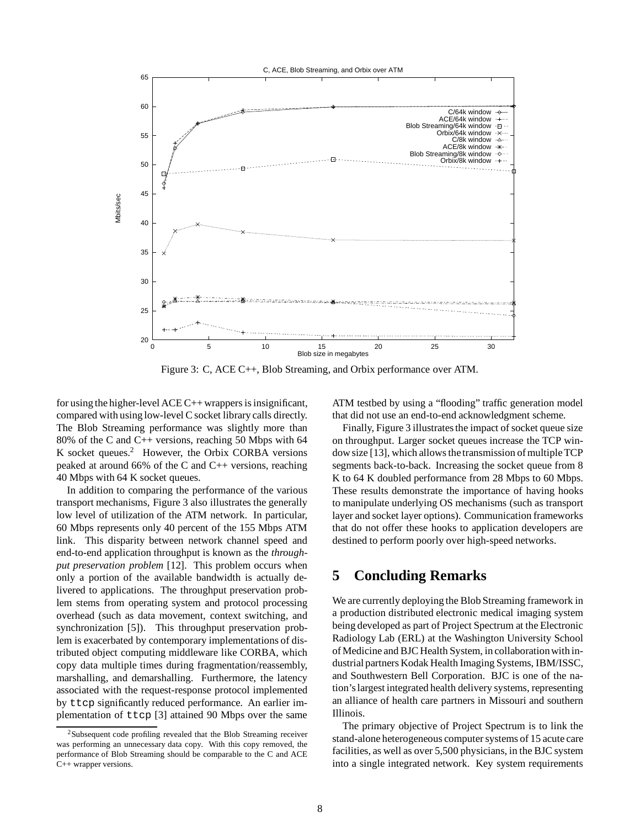

Figure 3: C, ACE C++, Blob Streaming, and Orbix performance over ATM.

for using the higher-level ACE C++ wrappers is insignificant, compared with using low-level C socket library calls directly. The Blob Streaming performance was slightly more than 80% of the C and C++ versions, reaching 50 Mbps with 64 K socket queues.2 However, the Orbix CORBA versions peaked at around 66% of the C and C++ versions, reaching 40 Mbps with 64 K socket queues.

In addition to comparing the performance of the various transport mechanisms, Figure 3 also illustrates the generally low level of utilization of the ATM network. In particular, 60 Mbps represents only 40 percent of the 155 Mbps ATM link. This disparity between network channel speed and end-to-end application throughput is known as the *throughput preservation problem* [12]. This problem occurs when only a portion of the available bandwidth is actually delivered to applications. The throughput preservation problem stems from operating system and protocol processing overhead (such as data movement, context switching, and synchronization [5]). This throughput preservation problem is exacerbated by contemporary implementations of distributed object computing middleware like CORBA, which copy data multiple times during fragmentation/reassembly, marshalling, and demarshalling. Furthermore, the latency associated with the request-response protocol implemented by ttcp significantly reduced performance. An earlier implementation of ttcp [3] attained 90 Mbps over the same ATM testbed by using a "flooding" traffic generation model that did not use an end-to-end acknowledgment scheme.

Finally, Figure 3 illustrates the impact of socket queue size on throughput. Larger socket queues increase the TCP window size [13], which allows the transmission of multiple TCP segments back-to-back. Increasing the socket queue from 8 K to 64 K doubled performance from 28 Mbps to 60 Mbps. These results demonstrate the importance of having hooks to manipulate underlying OS mechanisms (such as transport layer and socket layer options). Communication frameworks that do not offer these hooks to application developers are destined to perform poorly over high-speed networks.

### **5 Concluding Remarks**

We are currently deploying the Blob Streaming framework in a production distributed electronic medical imaging system being developed as part of Project Spectrum at the Electronic Radiology Lab (ERL) at the Washington University School of Medicine and BJC Health System, in collaborationwith industrial partners Kodak Health Imaging Systems, IBM/ISSC, and Southwestern Bell Corporation. BJC is one of the nation's largest integrated health delivery systems, representing an alliance of health care partners in Missouri and southern Illinois.

The primary objective of Project Spectrum is to link the stand-alone heterogeneous computer systems of 15 acute care facilities, as well as over 5,500 physicians, in the BJC system into a single integrated network. Key system requirements

 $2$ Subsequent code profiling revealed that the Blob Streaming receiver was performing an unnecessary data copy. With this copy removed, the performance of Blob Streaming should be comparable to the C and ACE C++ wrapper versions.